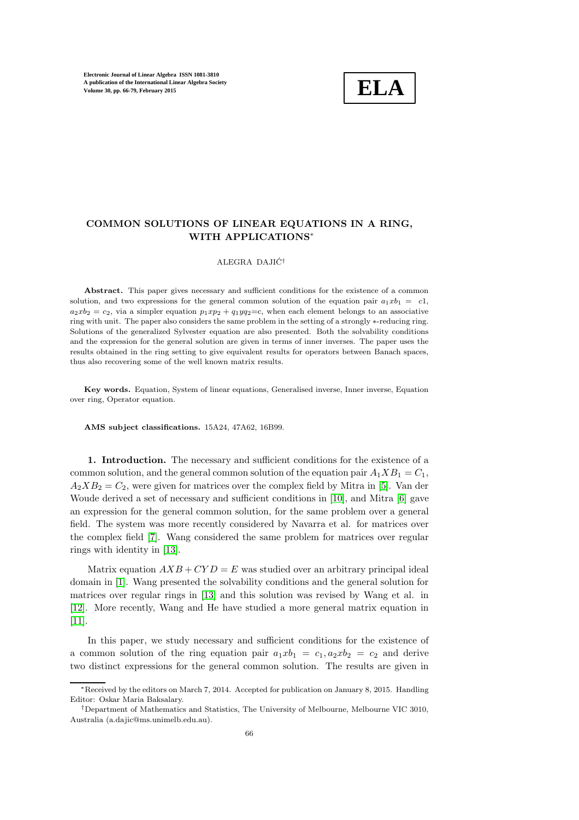

## COMMON SOLUTIONS OF LINEAR EQUATIONS IN A RING, WITH APPLICATIONS<sup>∗</sup>

## ALEGRA DAJIĆ<sup>†</sup>

Abstract. This paper gives necessary and sufficient conditions for the existence of a common solution, and two expressions for the general common solution of the equation pair  $a_1xb_1 = c1$ ,  $a_2xb_2 = c_2$ , via a simpler equation  $p_1xp_2 + q_1yq_2 = c$ , when each element belongs to an associative ring with unit. The paper also considers the same problem in the setting of a strongly ∗-reducing ring. Solutions of the generalized Sylvester equation are also presented. Both the solvability conditions and the expression for the general solution are given in terms of inner inverses. The paper uses the results obtained in the ring setting to give equivalent results for operators between Banach spaces, thus also recovering some of the well known matrix results.

Key words. Equation, System of linear equations, Generalised inverse, Inner inverse, Equation over ring, Operator equation.

AMS subject classifications. 15A24, 47A62, 16B99.

1. Introduction. The necessary and sufficient conditions for the existence of a common solution, and the general common solution of the equation pair  $A_1 X B_1 = C_1$ ,  $A_2 X B_2 = C_2$ , were given for matrices over the complex field by Mitra in [\[5\]](#page-12-0). Van der Woude derived a set of necessary and sufficient conditions in [\[10\]](#page-13-0), and Mitra [\[6\]](#page-12-1) gave an expression for the general common solution, for the same problem over a general field. The system was more recently considered by Navarra et al. for matrices over the complex field [\[7\]](#page-13-1). Wang considered the same problem for matrices over regular rings with identity in [\[13\]](#page-13-2).

Matrix equation  $AXB + CYD = E$  was studied over an arbitrary principal ideal domain in [\[1\]](#page-12-2). Wang presented the solvability conditions and the general solution for matrices over regular rings in [\[13\]](#page-13-2) and this solution was revised by Wang et al. in [\[12\]](#page-13-3). More recently, Wang and He have studied a more general matrix equation in [\[11\]](#page-13-4).

In this paper, we study necessary and sufficient conditions for the existence of a common solution of the ring equation pair  $a_1xb_1 = c_1, a_2xb_2 = c_2$  and derive two distinct expressions for the general common solution. The results are given in

<sup>∗</sup>Received by the editors on March 7, 2014. Accepted for publication on January 8, 2015. Handling Editor: Oskar Maria Baksalary.

<sup>†</sup>Department of Mathematics and Statistics, The University of Melbourne, Melbourne VIC 3010, Australia (a.dajic@ms.unimelb.edu.au).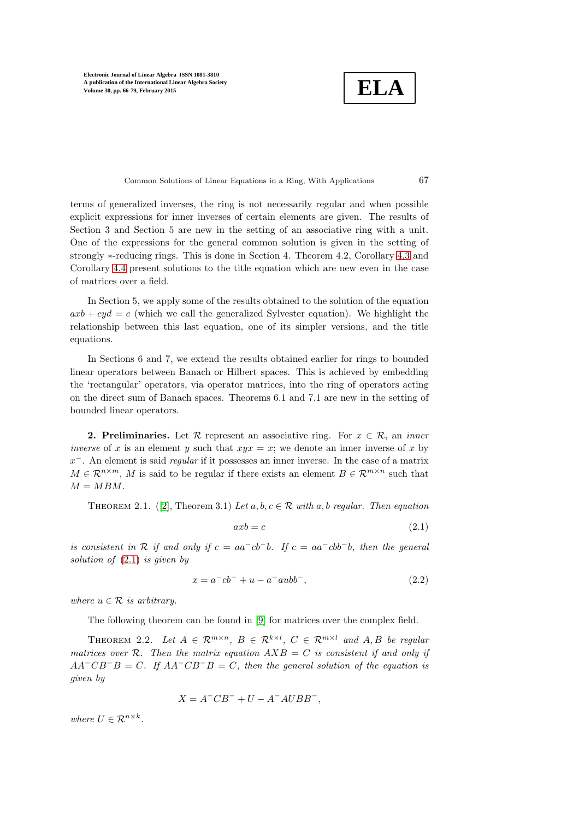$$
\fbox{\texttt{ELA}}
$$

Common Solutions of Linear Equations in a Ring, With Applications 67

terms of generalized inverses, the ring is not necessarily regular and when possible explicit expressions for inner inverses of certain elements are given. The results of Section 3 and Section 5 are new in the setting of an associative ring with a unit. One of the expressions for the general common solution is given in the setting of strongly  $*$ -reducing rings. This is done in Section 4. Theorem 4.2, Corollary [4.3](#page-7-0) and Corollary [4.4](#page-7-1) present solutions to the title equation which are new even in the case of matrices over a field.

In Section 5, we apply some of the results obtained to the solution of the equation  $axb + cyd = e$  (which we call the generalized Sylvester equation). We highlight the relationship between this last equation, one of its simpler versions, and the title equations.

In Sections 6 and 7, we extend the results obtained earlier for rings to bounded linear operators between Banach or Hilbert spaces. This is achieved by embedding the 'rectangular' operators, via operator matrices, into the ring of operators acting on the direct sum of Banach spaces. Theorems 6.1 and 7.1 are new in the setting of bounded linear operators.

**2. Preliminaries.** Let  $\mathcal{R}$  represent an associative ring. For  $x \in \mathcal{R}$ , an *inner* inverse of x is an element y such that  $xyx = x$ ; we denote an inner inverse of x by  $x^-$ . An element is said *regular* if it possesses an inner inverse. In the case of a matrix  $M \in \mathbb{R}^{n \times m}$ , M is said to be regular if there exists an element  $B \in \mathbb{R}^{m \times n}$  such that  $M = MBM$ .

<span id="page-1-1"></span>THEOREM 2.1. ([\[2\]](#page-12-3), Theorem 3.1) Let  $a, b, c \in \mathcal{R}$  with  $a, b$  regular. Then equation

<span id="page-1-0"></span>
$$
axb = c \tag{2.1}
$$

is consistent in R if and only if  $c = aa^-cb^-b$ . If  $c = aa^-cbb^-b$ , then the general solution of  $(2.1)$  is given by

$$
x = a^-cb^- + u - a^-aubb^-, \tag{2.2}
$$

where  $u \in \mathcal{R}$  is arbitrary.

The following theorem can be found in [\[9\]](#page-13-5) for matrices over the complex field.

THEOREM 2.2. Let  $A \in \mathcal{R}^{m \times n}$ ,  $B \in \mathcal{R}^{k \times l}$ ,  $C \in \mathcal{R}^{m \times l}$  and  $A, B$  be regular matrices over R. Then the matrix equation  $AXB = C$  is consistent if and only if  $AA^{-}CB^{-}B = C$ . If  $AA^{-}CB^{-}B = C$ , then the general solution of the equation is given by

$$
X = A^-CB^- + U - A^-AUBB^-,
$$

where  $U \in \mathcal{R}^{n \times k}$ .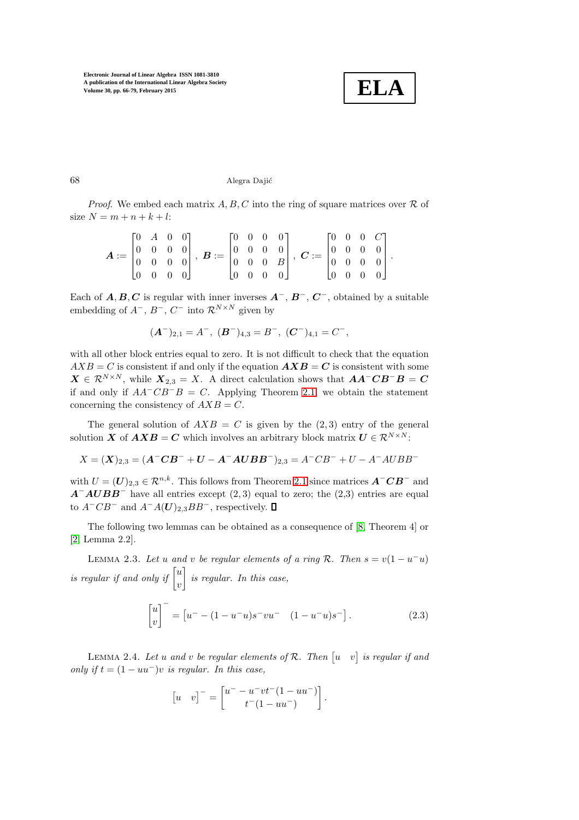

 $68$  Alegra Dajić

*Proof.* We embed each matrix  $A, B, C$  into the ring of square matrices over  $\mathcal R$  of size  $N = m + n + k + l$ :

$$
\boldsymbol{A} := \begin{bmatrix} 0 & A & 0 & 0 \\ 0 & 0 & 0 & 0 \\ 0 & 0 & 0 & 0 \\ 0 & 0 & 0 & 0 \end{bmatrix}, \ \boldsymbol{B} := \begin{bmatrix} 0 & 0 & 0 & 0 \\ 0 & 0 & 0 & 0 \\ 0 & 0 & 0 & B \\ 0 & 0 & 0 & 0 \end{bmatrix}, \ \boldsymbol{C} := \begin{bmatrix} 0 & 0 & 0 & C \\ 0 & 0 & 0 & 0 \\ 0 & 0 & 0 & 0 \\ 0 & 0 & 0 & 0 \end{bmatrix}.
$$

Each of  $A, B, C$  is regular with inner inverses  $A^-$ ,  $B^-$ ,  $C^-$ , obtained by a suitable embedding of  $A^-$ ,  $B^-$ ,  $C^-$  into  $\mathcal{R}^{N \times N}$  given by

$$
(\mathbf{A}^{-})_{2,1} = A^{-}, \; (\mathbf{B}^{-})_{4,3} = B^{-}, \; (\mathbf{C}^{-})_{4,1} = C^{-},
$$

with all other block entries equal to zero. It is not difficult to check that the equation  $AXB = C$  is consistent if and only if the equation  $\mathbf{A} \mathbf{X} \mathbf{B} = C$  is consistent with some  $X \in \mathcal{R}^{N \times N}$ , while  $X_{2,3} = X$ . A direct calculation shows that  $AA^{-}CB^{-}B = C$ if and only if  $AA^{-}CB^{-}B = C$ . Applying Theorem [2.1,](#page-1-1) we obtain the statement concerning the consistency of  $AXB = C$ .

The general solution of  $AXB = C$  is given by the (2,3) entry of the general solution X of  $AXB = C$  which involves an arbitrary block matrix  $U \in \mathcal{R}^{N \times N}$ :

$$
X = (\mathbf{X})_{2,3} = (\mathbf{A}^{-} \mathbf{C} \mathbf{B}^{-} + \mathbf{U} - \mathbf{A}^{-} \mathbf{A} \mathbf{U} \mathbf{B} \mathbf{B}^{-})_{2,3} = A^{-} \mathbf{C} B^{-} + U - A^{-} A \mathbf{U} B B^{-}
$$

with  $U = (U)_{2,3} \in \mathbb{R}^{n,k}$ . This follows from Theorem [2.1](#page-1-1) since matrices  $\mathbf{A}^{\top} \mathbf{C} \mathbf{B}^{\top}$  and  $A^-AUBB^-$  have all entries except (2,3) equal to zero; the (2,3) entries are equal to  $A^-CB^-$  and  $A^-A(U)_{2,3}BB^-$ , respectively. □

The following two lemmas can be obtained as a consequence of [\[8,](#page-13-6) Theorem 4] or [\[2,](#page-12-3) Lemma 2.2].

LEMMA 2.3. Let u and v be regular elements of a ring  $\mathcal{R}$ . Then  $s = v(1 - u^{-}u)$ is regular if and only if  $\lceil u \rceil$ v  $\Big\}$  is regular. In this case,

$$
\begin{bmatrix} u \\ v \end{bmatrix}^- = \begin{bmatrix} u^- - (1 - u^- u)s^- vu^- & (1 - u^- u)s^- \end{bmatrix} . \tag{2.3}
$$

LEMMA 2.4. Let u and v be regular elements of R. Then  $\begin{bmatrix} u & v \end{bmatrix}$  is regular if and only if  $t = (1 - uu^-)v$  is regular. In this case,

$$
\begin{bmatrix} u & v \end{bmatrix}^- = \begin{bmatrix} u^- - u^- v t^-(1 - u u^-) \\ t^-(1 - u u^-) \end{bmatrix}.
$$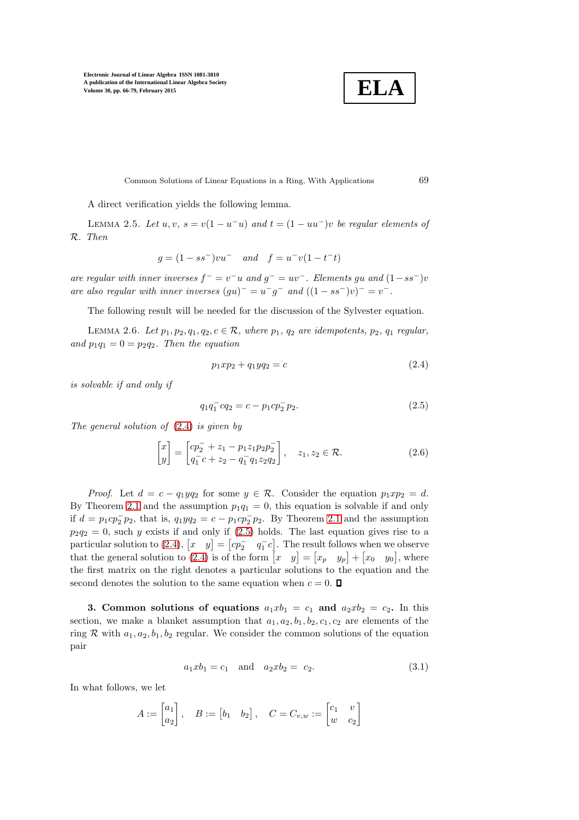

Common Solutions of Linear Equations in a Ring, With Applications 69

<span id="page-3-2"></span>A direct verification yields the following lemma.

LEMMA 2.5. Let  $u, v, s = v(1 - u^{-}u)$  and  $t = (1 - uu^{-})v$  be regular elements of R. Then

$$
g = (1 - ss^{-})vu^{-}
$$
 and  $f = u^{-}v(1 - t^{-}t)$ 

are regular with inner inverses  $f^- = v^- u$  and  $g^- = uv^-$ . Elements gu and  $(1 - ss^-)v$ are also regular with inner inverses  $(gu)^{-} = u^{-}g^{-}$  and  $((1 - ss^{-})v)^{-} = v^{-}$ .

<span id="page-3-4"></span>The following result will be needed for the discussion of the Sylvester equation.

LEMMA 2.6. Let  $p_1, p_2, q_1, q_2, c \in \mathcal{R}$ , where  $p_1, q_2$  are idempotents,  $p_2, q_1$  regular, and  $p_1q_1 = 0 = p_2q_2$ . Then the equation

<span id="page-3-0"></span>
$$
p_1 x p_2 + q_1 y q_2 = c \tag{2.4}
$$

is solvable if and only if

<span id="page-3-1"></span>
$$
q_1 q_1^- c q_2 = c - p_1 c p_2^- p_2. \tag{2.5}
$$

The general solution of [\(2.4\)](#page-3-0) is given by

$$
\begin{bmatrix} x \\ y \end{bmatrix} = \begin{bmatrix} cp_2^- + z_1 - p_1 z_1 p_2 p_2^- \\ q_1^- c + z_2 - q_1^- q_1 z_2 q_2 \end{bmatrix}, \quad z_1, z_2 \in \mathcal{R}.
$$
 (2.6)

*Proof.* Let  $d = c - q_1yq_2$  for some  $y \in \mathcal{R}$ . Consider the equation  $p_1xp_2 = d$ . By Theorem [2.1](#page-1-1) and the assumption  $p_1q_1 = 0$ , this equation is solvable if and only if  $d = p_1cp_2^-p_2$ , that is,  $q_1yq_2 = c - p_1cp_2^-p_2$ . By Theorem [2.1](#page-1-1) and the assumption  $p_2q_2 = 0$ , such y exists if and only if [\(2.5\)](#page-3-1) holds. The last equation gives rise to a particular solution to [\(2.4\)](#page-3-0),  $\begin{bmatrix} x & y \end{bmatrix} = \begin{bmatrix} cp_2^- & q_1^-c \end{bmatrix}$ . The result follows when we observe that the general solution to [\(2.4\)](#page-3-0) is of the form  $\begin{bmatrix} x & y \end{bmatrix} = \begin{bmatrix} x_p & y_p \end{bmatrix} + \begin{bmatrix} x_0 & y_0 \end{bmatrix}$ , where the first matrix on the right denotes a particular solutions to the equation and the second denotes the solution to the same equation when  $c = 0$ .

<span id="page-3-3"></span>3. Common solutions of equations  $a_1xb_1 = c_1$  and  $a_2xb_2 = c_2$ . In this section, we make a blanket assumption that  $a_1, a_2, b_1, b_2, c_1, c_2$  are elements of the ring R with  $a_1, a_2, b_1, b_2$  regular. We consider the common solutions of the equation pair

$$
a_1 x b_1 = c_1 \quad \text{and} \quad a_2 x b_2 = c_2. \tag{3.1}
$$

In what follows, we let

$$
A := \begin{bmatrix} a_1 \\ a_2 \end{bmatrix}, \quad B := \begin{bmatrix} b_1 & b_2 \end{bmatrix}, \quad C = C_{v,w} := \begin{bmatrix} c_1 & v \\ w & c_2 \end{bmatrix}
$$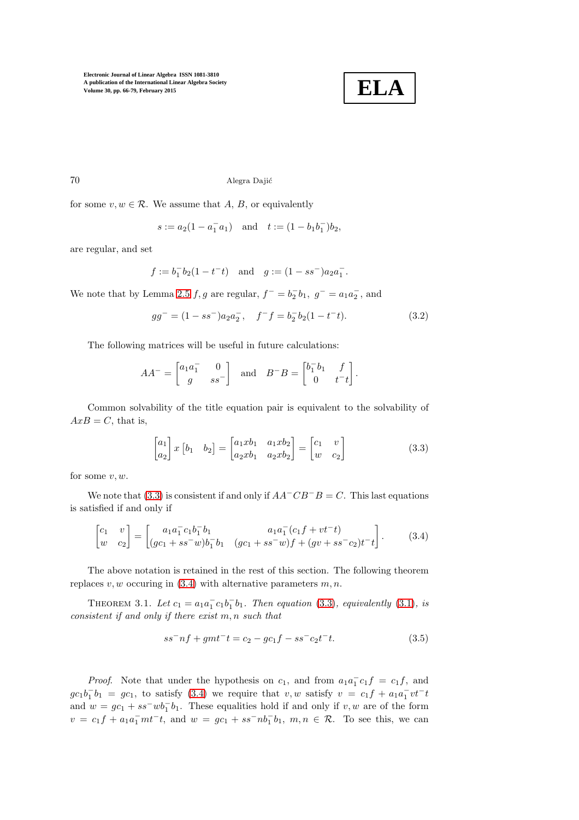<span id="page-4-3"></span>

70 Alegra Dajić

for some  $v, w \in \mathcal{R}$ . We assume that A, B, or equivalently

$$
s := a_2(1 - a_1^- a_1)
$$
 and  $t := (1 - b_1 b_1^-)b_2$ ,

are regular, and set

$$
f := b_1^- b_2 (1 - t^- t)
$$
 and  $g := (1 - s s^-) a_2 a_1^-$ .

We note that by Lemma [2.5](#page-3-2)  $f, g$  are regular,  $f^- = b_2^- b_1$ ,  $g^- = a_1 a_2^-$ , and

$$
gg^- = (1 - ss^-)a_2a_2^-, \quad f^-f = b_2^-b_2(1 - t^-t). \tag{3.2}
$$

The following matrices will be useful in future calculations:

$$
AA^{-} = \begin{bmatrix} a_1 a_1^{-} & 0 \\ g & s s^{-} \end{bmatrix} \text{ and } B^{-}B = \begin{bmatrix} b_1^{-} b_1 & f \\ 0 & t^{-} t \end{bmatrix}.
$$

Common solvability of the title equation pair is equivalent to the solvability of  $AxB = C$ , that is,

<span id="page-4-1"></span><span id="page-4-0"></span>
$$
\begin{bmatrix} a_1 \\ a_2 \end{bmatrix} x \begin{bmatrix} b_1 & b_2 \end{bmatrix} = \begin{bmatrix} a_1 x b_1 & a_1 x b_2 \\ a_2 x b_1 & a_2 x b_2 \end{bmatrix} = \begin{bmatrix} c_1 & v \\ w & c_2 \end{bmatrix}
$$
 (3.3)

for some  $v, w$ .

We note that [\(3.3\)](#page-4-0) is consistent if and only if  $AA^{-}CB^{-}B = C$ . This last equations is satisfied if and only if

$$
\begin{bmatrix} c_1 & v \ w & c_2 \end{bmatrix} = \begin{bmatrix} a_1 a_1 c_1 b_1 b_1 & a_1 a_1 (c_1 f + vt^+) \\ (gc_1 + ss^- w) b_1 b_1 & (gc_1 + ss^- w) f + (gv + ss^- c_2) t^- t \end{bmatrix}.
$$
 (3.4)

<span id="page-4-4"></span>The above notation is retained in the rest of this section. The following theorem replaces  $v, w$  occuring in [\(3.4\)](#page-4-1) with alternative parameters  $m, n$ .

THEOREM 3.1. Let  $c_1 = a_1 a_1^- c_1 b_1^- b_1$ . Then equation [\(3.3\)](#page-4-0), equivalently [\(3.1\)](#page-3-3), is consistent if and only if there exist m, n such that

<span id="page-4-2"></span>
$$
ss^-nf + gmt^-t = c_2 - gc_1f - ss^-c_2t^-t.
$$
\n(3.5)

*Proof.* Note that under the hypothesis on  $c_1$ , and from  $a_1a_1^-c_1f = c_1f$ , and  $gc_1b_1^-b_1 = gc_1$ , to satisfy [\(3.4\)](#page-4-1) we require that v, w satisfy  $v = c_1f + a_1a_1^-vt^-t$ and  $w = gc_1 + ss^-wb_1^-b_1$ . These equalities hold if and only if  $v, w$  are of the form  $v = c_1 f + a_1 a_1^- m t^- t$ , and  $w = g c_1 + s s^- n b_1^- b_1$ ,  $m, n \in \mathcal{R}$ . To see this, we can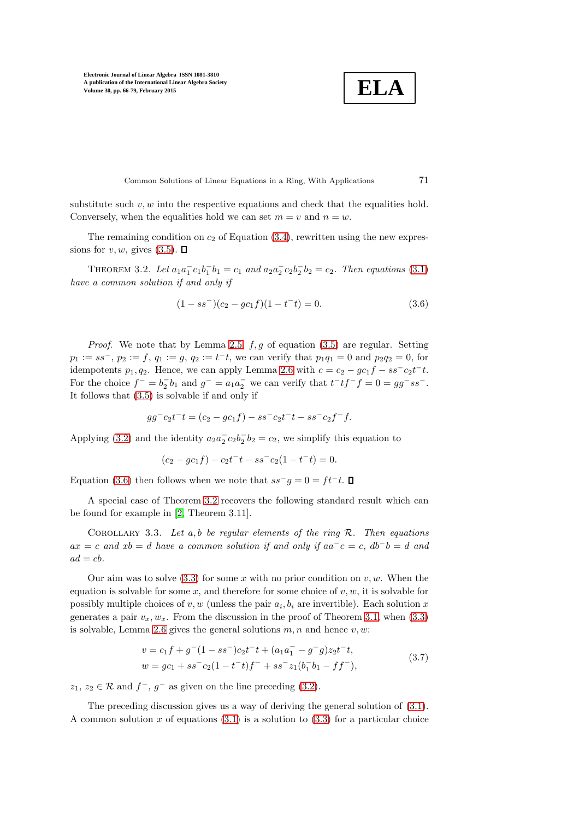$$
\boxed{\textbf{ELA}}
$$

Common Solutions of Linear Equations in a Ring, With Applications 71

substitute such  $v, w$  into the respective equations and check that the equalities hold. Conversely, when the equalities hold we can set  $m = v$  and  $n = w$ .

<span id="page-5-1"></span>The remaining condition on  $c_2$  of Equation [\(3.4\)](#page-4-1), rewritten using the new expressions for  $v, w$ , gives [\(3.5\)](#page-4-2).  $\Box$ 

THEOREM 3.2. Let  $a_1a_1^-c_1b_1^-b_1 = c_1$  and  $a_2a_2^-c_2b_2^-b_2 = c_2$ . Then equations [\(3.1\)](#page-3-3) have a common solution if and only if

<span id="page-5-0"></span>
$$
(1 - ss-)(c2 - gc1f)(1 - t-t) = 0.
$$
\n(3.6)

*Proof.* We note that by Lemma [2.5,](#page-3-2)  $f, g$  of equation [\(3.5\)](#page-4-2) are regular. Setting  $p_1 := ss^-$ ,  $p_2 := f$ ,  $q_1 := g$ ,  $q_2 := t^-t$ , we can verify that  $p_1q_1 = 0$  and  $p_2q_2 = 0$ , for idempotents  $p_1, q_2$ . Hence, we can apply Lemma [2.6](#page-3-4) with  $c = c_2 - gc_1f - ss^-c_2t^-t$ . For the choice  $f^- = b_2^- b_1$  and  $g^- = a_1 a_2^-$  we can verify that  $t^- t f^- f = 0 = gg^- ss^-$ . It follows that [\(3.5\)](#page-4-2) is solvable if and only if

$$
gg^-c_2t^-t = (c_2 - gc_1f) - ss^-c_2t^-t - ss^-c_2f^-f.
$$

Applying [\(3.2\)](#page-4-3) and the identity  $a_2a_2^{\dagger}c_2b_2^{\dagger}b_2=c_2$ , we simplify this equation to

$$
(c_2 - gc_1f) - c_2t^-t - ss^-c_2(1 - t^-t) = 0.
$$

Equation [\(3.6\)](#page-5-0) then follows when we note that  $ss^-g = 0 = ft^-t$ .

A special case of Theorem [3.2](#page-5-1) recovers the following standard result which can be found for example in [\[2,](#page-12-3) Theorem 3.11].

COROLLARY 3.3. Let  $a, b$  be regular elements of the ring  $R$ . Then equations  $ax = c$  and  $xb = d$  have a common solution if and only if  $aa^-c = c$ ,  $db^-b = d$  and  $ad = cb.$ 

Our aim was to solve  $(3.3)$  for some x with no prior condition on  $v, w$ . When the equation is solvable for some x, and therefore for some choice of  $v, w$ , it is solvable for possibly multiple choices of  $v, w$  (unless the pair  $a_i, b_i$  are invertible). Each solution x generates a pair  $v_x, w_x$ . From the discussion in the proof of Theorem [3.1,](#page-4-4) when [\(3.3\)](#page-4-0) is solvable, Lemma [2.6](#page-3-4) gives the general solutions  $m, n$  and hence  $v, w$ :

<span id="page-5-2"></span>
$$
v = c_1 f + g^{-} (1 - ss^{-}) c_2 t^{-} t + (a_1 a_1^{-} - g^{-} g) z_2 t^{-} t,
$$
  
\n
$$
w = gc_1 + ss^{-} c_2 (1 - t^{-} t) f^{-} + ss^{-} z_1 (b_1^{-} b_1 - f f^{-}),
$$
\n(3.7)

 $z_1, z_2 \in \mathcal{R}$  and  $f^-, g^-$  as given on the line preceding [\(3.2\)](#page-4-3).

The preceding discussion gives us a way of deriving the general solution of [\(3.1\)](#page-3-3). A common solution x of equations  $(3.1)$  is a solution to  $(3.3)$  for a particular choice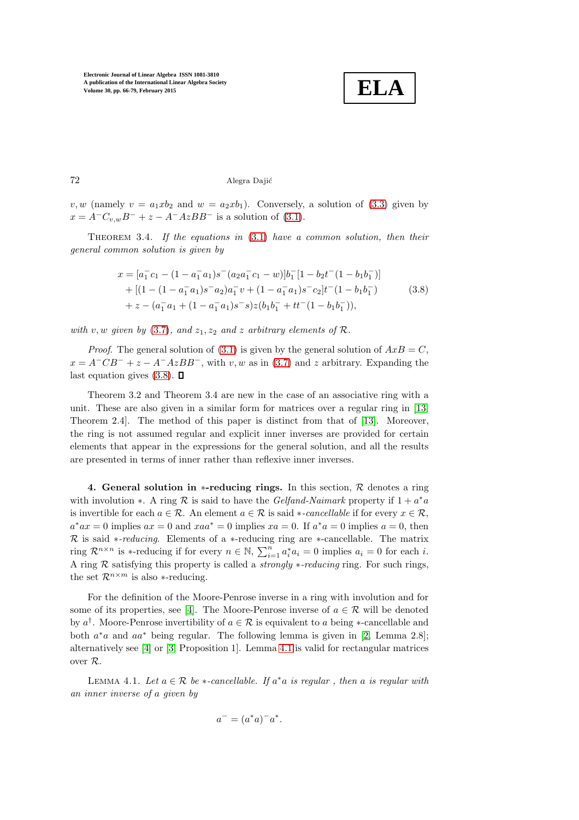

72 Alegra Dajić

<span id="page-6-2"></span>v, w (namely  $v = a_1 x b_2$  and  $w = a_2 x b_1$ ). Conversely, a solution of [\(3.3\)](#page-4-0) given by  $x = A^{-}C_{v,w}B^{-} + z - A^{-}AzBB^{-}$  is a solution of [\(3.1\)](#page-3-3).

THEOREM 3.4. If the equations in  $(3.1)$  have a common solution, then their general common solution is given by

<span id="page-6-0"></span>
$$
x = [a_1^- c_1 - (1 - a_1^- a_1)s^-(a_2 a_1^- c_1 - w)]b_1^- [1 - b_2 t^-(1 - b_1 b_1^-)]
$$
  
+ 
$$
[(1 - (1 - a_1^- a_1)s^- a_2)a_1^- v + (1 - a_1^- a_1)s^- c_2]t^-(1 - b_1 b_1^-)
$$
  
+ 
$$
z - (a_1^- a_1 + (1 - a_1^- a_1)s^- s)z(b_1 b_1^- + t t^-(1 - b_1 b_1^-)),
$$
 (3.8)

with v, w given by [\(3.7\)](#page-5-2), and  $z_1, z_2$  and z arbitrary elements of  $\mathcal{R}$ .

*Proof.* The general solution of [\(3.1\)](#page-3-3) is given by the general solution of  $AxB = C$ ,  $x = A^{-}CB^{-} + z - A^{-}AzBB^{-}$ , with v, w as in [\(3.7\)](#page-5-2) and z arbitrary. Expanding the last equation gives  $(3.8)$ .  $\Box$ 

Theorem 3.2 and Theorem 3.4 are new in the case of an associative ring with a unit. These are also given in a similar form for matrices over a regular ring in [\[13,](#page-13-2) Theorem 2.4]. The method of this paper is distinct from that of [\[13\]](#page-13-2). Moreover, the ring is not assumed regular and explicit inner inverses are provided for certain elements that appear in the expressions for the general solution, and all the results are presented in terms of inner rather than reflexive inner inverses.

4. General solution in  $*$ -reducing rings. In this section,  $R$  denotes a ring with involution  $*$ . A ring R is said to have the *Gelfand-Naimark* property if  $1 + a^*a$ is invertible for each  $a \in \mathcal{R}$ . An element  $a \in \mathcal{R}$  is said \*-cancellable if for every  $x \in \mathcal{R}$ ,  $a^*ax = 0$  implies  $ax = 0$  and  $xaa^* = 0$  implies  $xa = 0$ . If  $a^*a = 0$  implies  $a = 0$ , then R is said  $\ast$ -reducing. Elements of a  $\ast$ -reducing ring are  $\ast$ -cancellable. The matrix ring  $\mathcal{R}^{n \times n}$  is \*-reducing if for every  $n \in \mathbb{N}$ ,  $\sum_{i=1}^{n} a_i^* a_i = 0$  implies  $a_i = 0$  for each *i*. A ring  $R$  satisfying this property is called a *strongly \*-reducing* ring. For such rings, the set  $\mathcal{R}^{n \times m}$  is also ∗-reducing.

For the definition of the Moore-Penrose inverse in a ring with involution and for some of its properties, see [\[4\]](#page-12-4). The Moore-Penrose inverse of  $a \in \mathcal{R}$  will be denoted by  $a^{\dagger}$ . Moore-Penrose invertibility of  $a \in \mathcal{R}$  is equivalent to a being ∗-cancellable and both  $a^*a$  and  $aa^*$  being regular. The following lemma is given in [\[2,](#page-12-3) Lemma 2.8]; alternatively see [\[4\]](#page-12-4) or [\[3,](#page-12-5) Proposition 1]. Lemma [4.1](#page-6-1) is valid for rectangular matrices over R.

<span id="page-6-1"></span>LEMMA 4.1. Let  $a \in \mathcal{R}$  be  $\ast$ -cancellable. If  $a^*a$  is regular, then a is regular with an inner inverse of a given by

$$
a^- = (a^*a)^-a^*.
$$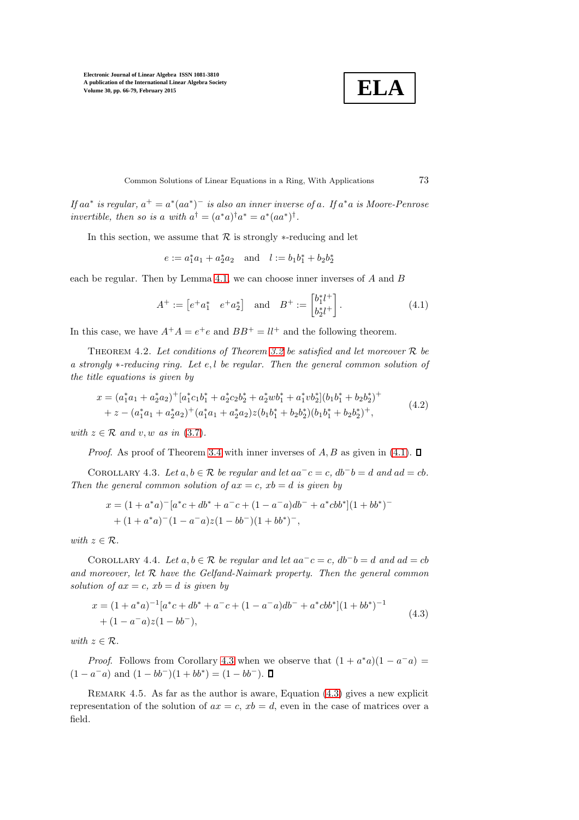

Common Solutions of Linear Equations in a Ring, With Applications 73

If aa<sup>\*</sup> is regular,  $a^+ = a^*(aa^*)^-$  is also an inner inverse of a. If  $a^*a$  is Moore-Penrose invertible, then so is a with  $a^{\dagger} = (a^*a)^{\dagger}a^* = a^*(aa^*)^{\dagger}$ .

In this section, we assume that  $R$  is strongly  $*$ -reducing and let

 $e := a_1^* a_1 + a_2^* a_2$  and  $l := b_1 b_1^* + b_2 b_2^*$ 

each be regular. Then by Lemma [4.1,](#page-6-1) we can choose inner inverses of A and B

<span id="page-7-5"></span>
$$
A^{+} := \begin{bmatrix} e^{+}a_{1}^{*} & e^{+}a_{2}^{*} \end{bmatrix} \text{ and } B^{+} := \begin{bmatrix} b_{1}^{*}l^{+} \\ b_{2}^{*}l^{+} \end{bmatrix}.
$$
 (4.1)

<span id="page-7-4"></span>In this case, we have  $A^+A = e^+e$  and  $BB^+ = ll^+$  and the following theorem.

THEOREM 4.2. Let conditions of Theorem [3.2](#page-5-1) be satisfied and let moreover  $R$  be a strongly ∗-reducing ring. Let e, l be regular. Then the general common solution of the title equations is given by

$$
x = (a_1^* a_1 + a_2^* a_2)^+ [a_1^* c_1 b_1^* + a_2^* c_2 b_2^* + a_2^* w b_1^* + a_1^* v b_2^*](b_1 b_1^* + b_2 b_2^*)^+
$$
  
+ 
$$
z - (a_1^* a_1 + a_2^* a_2)^+ (a_1^* a_1 + a_2^* a_2) z (b_1 b_1^* + b_2 b_2^*) (b_1 b_1^* + b_2 b_2^*)^+,
$$
 (4.2)

with  $z \in \mathcal{R}$  and v, w as in [\(3.7\)](#page-5-2).

<span id="page-7-0"></span>*Proof.* As proof of Theorem [3.4](#page-6-2) with inner inverses of  $A, B$  as given in [\(4.1\)](#page-7-2).  $\square$ 

COROLLARY 4.3. Let  $a, b \in \mathcal{R}$  be regular and let  $aa^-c = c$ ,  $db^-b = d$  and  $ad = cb$ . Then the general common solution of  $ax = c$ ,  $xb = d$  is given by

$$
x = (1 + a^*a)^{-}[a^*c + db^* + a^-c + (1 - a^-a)db^- + a^*cbb^*](1 + bb^*)^-
$$
  
+ 
$$
(1 + a^*a)^{-}(1 - a^-a)z(1 - bb^{-})(1 + bb^*)^{-},
$$

<span id="page-7-1"></span>with  $z \in \mathcal{R}$ .

COROLLARY 4.4. Let  $a, b \in \mathcal{R}$  be regular and let  $aa^-c = c$ ,  $db^-b = d$  and  $ad = cb$ and moreover, let  $R$  have the Gelfand-Naimark property. Then the general common solution of  $ax = c$ ,  $xb = d$  is given by

<span id="page-7-3"></span>
$$
x = (1 + a^*a)^{-1}[a^*c + db^* + a^-c + (1 - a^-a)db^- + a^*cbb^*](1 + bb^*)^{-1}
$$
  
+ 
$$
(1 - a^-a)z(1 - bb^-),
$$
 (4.3)

with  $z \in \mathcal{R}$ .

*Proof.* Follows from Corollary [4.3](#page-7-0) when we observe that  $(1 + a^*a)(1 - a^-a)$  $(1 - a^{-}a)$  and  $(1 - bb^{-})(1 + bb^{*}) = (1 - bb^{-})$ .

REMARK  $4.5$ . As far as the author is aware, Equation  $(4.3)$  gives a new explicit representation of the solution of  $ax = c$ ,  $xb = d$ , even in the case of matrices over a field.

<span id="page-7-2"></span>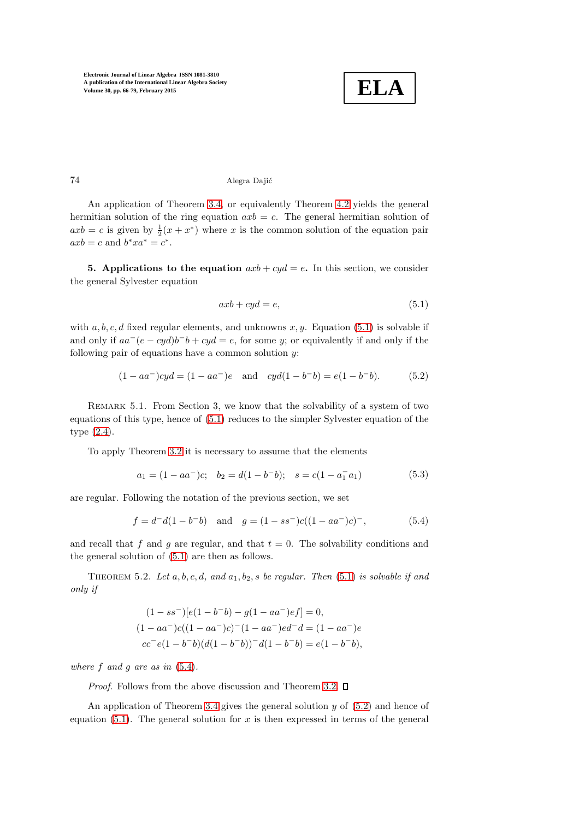

## 74 Alegra Dajić

An application of Theorem [3.4,](#page-6-2) or equivalently Theorem [4.2](#page-7-4) yields the general hermitian solution of the ring equation  $axb = c$ . The general hermitian solution of  $axb = c$  is given by  $\frac{1}{2}(x + x^*)$  where x is the common solution of the equation pair  $axb = c$  and  $b^*xa^* = c^*$ .

5. Applications to the equation  $axb + cyd = e$ . In this section, we consider the general Sylvester equation

<span id="page-8-2"></span><span id="page-8-0"></span>
$$
axb + cyd = e,\t\t(5.1)
$$

with a, b, c, d fixed regular elements, and unknowns  $x, y$ . Equation [\(5.1\)](#page-8-0) is solvable if and only if  $aa^-(e-cyd)b^-b+cyd=e$ , for some y; or equivalently if and only if the following pair of equations have a common solution  $y$ :

$$
(1 - aa^-)cyd = (1 - aa^-)e \text{ and } cyd(1 - b^-b) = e(1 - b^-b). \tag{5.2}
$$

REMARK 5.1. From Section 3, we know that the solvability of a system of two equations of this type, hence of [\(5.1\)](#page-8-0) reduces to the simpler Sylvester equation of the type [\(2.4\)](#page-3-0).

To apply Theorem [3.2](#page-5-1) it is necessary to assume that the elements

<span id="page-8-1"></span>
$$
a_1 = (1 - aa^-)c; \quad b_2 = d(1 - b^-b); \quad s = c(1 - a_1^- a_1)
$$
\n
$$
(5.3)
$$

are regular. Following the notation of the previous section, we set

$$
f = d^-d(1 - b^-b)
$$
 and  $g = (1 - ss^-)c((1 - aa^-)c)^{-}$ , (5.4)

and recall that f and g are regular, and that  $t = 0$ . The solvability conditions and the general solution of [\(5.1\)](#page-8-0) are then as follows.

THEOREM 5.2. Let a, b, c, d, and  $a_1, b_2, s$  be regular. Then [\(5.1\)](#page-8-0) is solvable if and only if

$$
(1 - ss^-)[e(1 - b^-b) - g(1 - aa^-)ef] = 0,
$$
  
\n
$$
(1 - aa^-)c((1 - aa^-)c)^{-}(1 - aa^-)ed^{-}d = (1 - aa^{-})e
$$
  
\n
$$
cc^{-}e(1 - b^{-}b)(d(1 - b^{-}b))^{-}d(1 - b^{-}b) = e(1 - b^{-}b),
$$

where f and a are as in  $(5.4)$ .

*Proof.* Follows from the above discussion and Theorem [3.2.](#page-5-1)  $\square$ 

An application of Theorem [3.4](#page-6-2) gives the general solution  $y$  of  $(5.2)$  and hence of equation [\(5.1\)](#page-8-0). The general solution for  $x$  is then expressed in terms of the general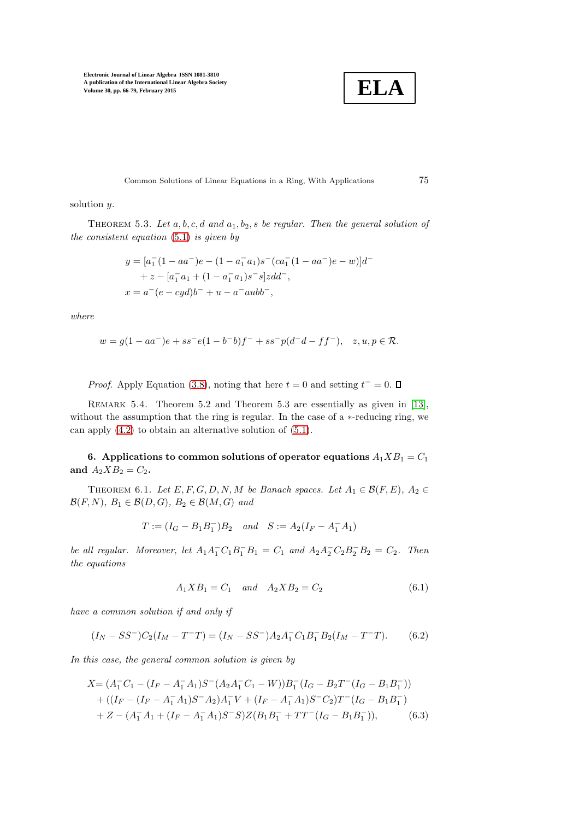

Common Solutions of Linear Equations in a Ring, With Applications 75

solution y.

THEOREM 5.3. Let  $a, b, c, d$  and  $a_1, b_2, s$  be regular. Then the general solution of the consistent equation [\(5.1\)](#page-8-0) is given by

$$
y = [a_1(1 - aa^-)e - (1 - a_1^- a_1)s^-(ca_1(1 - aa^-)e - w)]d^-
$$
  
+  $z - [a_1^- a_1 + (1 - a_1^- a_1)s^-s]zdd^-$ ,  
 $x = a^-(e - cyd)b^- + u - a^-aubb^-,$ 

where

$$
w = g(1 - aa^-)e + ss^-e(1 - b^-b)f^- + ss^-p(d^-d - ff^-), \quad z, u, p \in \mathcal{R}.
$$

*Proof.* Apply Equation [\(3.8\)](#page-6-0), noting that here  $t = 0$  and setting  $t^- = 0$ .

REMARK 5.4. Theorem 5.2 and Theorem 5.3 are essentially as given in [\[13\]](#page-13-2), without the assumption that the ring is regular. In the case of a  $*$ -reducing ring, we can apply [\(4.2\)](#page-7-5) to obtain an alternative solution of [\(5.1\)](#page-8-0).

<span id="page-9-1"></span>6. Applications to common solutions of operator equations  $A_1 X B_1 = C_1$ and  $A_2 X B_2 = C_2$ .

THEOREM 6.1. Let  $E, F, G, D, N, M$  be Banach spaces. Let  $A_1 \in \mathcal{B}(F, E)$ ,  $A_2 \in$  $\mathcal{B}(F,N), B_1 \in \mathcal{B}(D,G), B_2 \in \mathcal{B}(M,G)$  and

<span id="page-9-0"></span>
$$
T := (I_G - B_1B_1^-)B_2
$$
 and  $S := A_2(I_F - A_1^-A_1)$ 

be all regular. Moreover, let  $A_1 A_1^- C_1 B_1^- B_1 = C_1$  and  $A_2 A_2^- C_2 B_2^- B_2 = C_2$ . Then the equations

<span id="page-9-3"></span><span id="page-9-2"></span>
$$
A_1 X B_1 = C_1 \quad and \quad A_2 X B_2 = C_2 \tag{6.1}
$$

have a common solution if and only if

$$
(I_N - SS^-)C_2(I_M - T^-T) = (I_N - SS^-)A_2A_1^CC_1B_1^BB_2(I_M - T^-T). \tag{6.2}
$$

In this case, the general common solution is given by

$$
X = (A_1^- C_1 - (I_F - A_1^- A_1)S^-(A_2 A_1^- C_1 - W))B_1^-(I_G - B_2 T^-(I_G - B_1 B_1^-))
$$
  
+ 
$$
((I_F - (I_F - A_1^- A_1)S^- A_2)A_1^- V + (I_F - A_1^- A_1)S^- C_2)T^-(I_G - B_1 B_1^-)
$$
  
+ 
$$
Z - (A_1^- A_1 + (I_F - A_1^- A_1)S^- S)Z(B_1 B_1^- + TT^-(I_G - B_1 B_1^-)),
$$
 (6.3)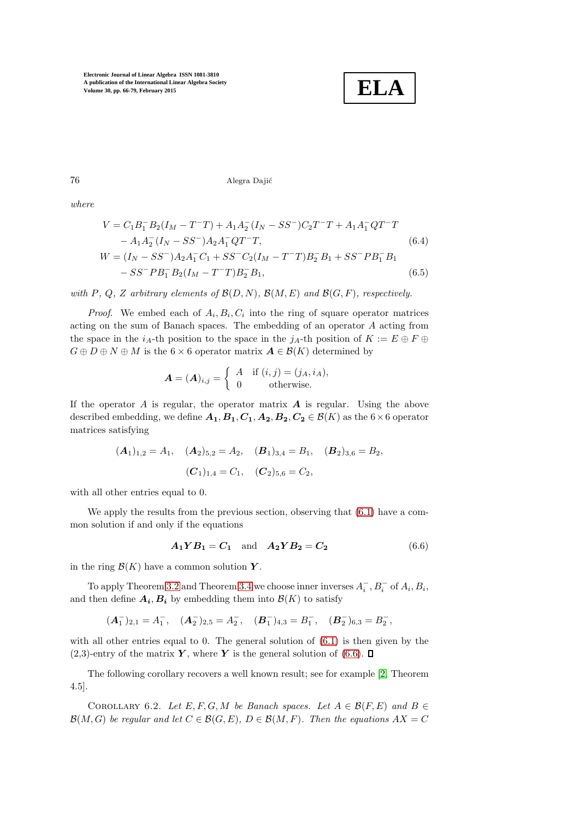

76 Alegra Dajić

where

$$
V = C_1 B_1^- B_2 (I_M - T^-T) + A_1 A_2^- (I_N - SS^-) C_2 T^- T + A_1 A_1^- Q T^- T
$$
  
\n
$$
- A_1 A_2^- (I_N - SS^-) A_2 A_1^- Q T^- T,
$$
  
\n
$$
W = (I_N - SS^-) A_2 A_1^- C_1 + SS^- C_2 (I_M - T^- T) B_2^- B_1 + SS^- P B_1^- B_1
$$
  
\n
$$
- SS^- P B_1^- B_2 (I_M - T^- T) B_2^- B_1,
$$
  
\n(6.5)

with P, Q, Z arbitrary elements of  $\mathcal{B}(D, N)$ ,  $\mathcal{B}(M, E)$  and  $\mathcal{B}(G, F)$ , respectively.

*Proof.* We embed each of  $A_i, B_i, C_i$  into the ring of square operator matrices acting on the sum of Banach spaces. The embedding of an operator A acting from the space in the  $i_A$ -th position to the space in the  $j_A$ -th position of  $K := E \oplus F \oplus$  $G \oplus D \oplus N \oplus M$  is the 6 × 6 operator matrix  $A \in \mathcal{B}(K)$  determined by

$$
\boldsymbol{A} = (\boldsymbol{A})_{i,j} = \left\{ \begin{array}{ll} A & \text{if } (i,j) = (j_A, i_A), \\ 0 & \text{otherwise.} \end{array} \right.
$$

If the operator A is regular, the operator matrix  $\bf{A}$  is regular. Using the above described embedding, we define  $A_1, B_1, C_1, A_2, B_2, C_2 \in \mathcal{B}(K)$  as the  $6 \times 6$  operator matrices satisfying

$$
(A_1)_{1,2} = A_1
$$
,  $(A_2)_{5,2} = A_2$ ,  $(B_1)_{3,4} = B_1$ ,  $(B_2)_{3,6} = B_2$ ,  
 $(C_1)_{1,4} = C_1$ ,  $(C_2)_{5,6} = C_2$ ,

with all other entries equal to 0.

We apply the results from the previous section, observing that [\(6.1\)](#page-9-0) have a common solution if and only if the equations

<span id="page-10-0"></span>
$$
A_1 Y B_1 = C_1 \text{ and } A_2 Y B_2 = C_2 \tag{6.6}
$$

in the ring  $\mathcal{B}(K)$  have a common solution Y.

To apply Theorem [3.2](#page-5-1) and Theorem [3.4](#page-6-2) we choose inner inverses  $A_i^-, B_i^-$  of  $A_i, B_i$ , and then define  $A_i, B_i$  by embedding them into  $\mathcal{B}(K)$  to satisfy

$$
(A_1^-)_{2,1} = A_1^-
$$
,  $(A_2^-)_{2,5} = A_2^-$ ,  $(B_1^-)_{4,3} = B_1^-$ ,  $(B_2^-)_{6,3} = B_2^-$ ,

with all other entries equal to 0. The general solution of  $(6.1)$  is then given by the  $(2,3)$ -entry of the matrix Y, where Y is the general solution of  $(6.6)$ .  $\Box$ 

The following corollary recovers a well known result; see for example [\[2,](#page-12-3) Theorem 4.5].

COROLLARY 6.2. Let  $E, F, G, M$  be Banach spaces. Let  $A \in \mathcal{B}(F, E)$  and  $B \in$  $\mathcal{B}(M, G)$  be regular and let  $C \in \mathcal{B}(G, E)$ ,  $D \in \mathcal{B}(M, F)$ . Then the equations  $AX = C$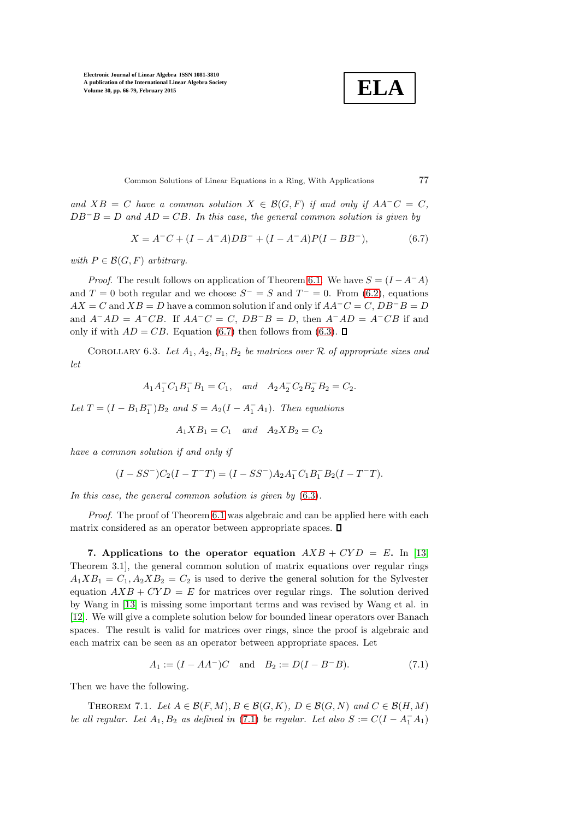$$
\boxed{\textbf{ELA}}
$$

Common Solutions of Linear Equations in a Ring, With Applications 77

and  $XB = C$  have a common solution  $X \in \mathcal{B}(G, F)$  if and only if  $AA^{-}C = C$ ,  $DB^{-}B = D$  and  $AD = CB$ . In this case, the general common solution is given by

$$
X = A^{-}C + (I - A^{-}A)DB^{-} + (I - A^{-}A)P(I - BB^{-}),
$$
\n(6.7)

with  $P \in \mathcal{B}(G, F)$  arbitrary.

*Proof.* The result follows on application of Theorem [6.1.](#page-9-1) We have  $S = (I - A^{-1}A)$ and  $T = 0$  both regular and we choose  $S^- = S$  and  $T^- = 0$ . From [\(6.2\)](#page-9-2), equations  $AX = C$  and  $XB = D$  have a common solution if and only if  $AA^{-}C = C$ ,  $DB^{-}B = D$ and  $A^{-}AD = A^{-}CB$ . If  $AA^{-}C = C$ ,  $DB^{-}B = D$ , then  $A^{-}AD = A^{-}CB$  if and only if with  $AD = CB$ . Equation [\(6.7\)](#page-11-0) then follows from [\(6.3\)](#page-9-3).  $\square$ 

COROLLARY 6.3. Let  $A_1, A_2, B_1, B_2$  be matrices over  $\mathcal R$  of appropriate sizes and let

$$
A_1 A_1^- C_1 B_1^- B_1 = C_1, \quad and \quad A_2 A_2^- C_2 B_2^- B_2 = C_2.
$$

Let  $T = (I - B_1 B_1^{-})B_2$  and  $S = A_2(I - A_1^{-}A_1)$ . Then equations

$$
A_1 X B_1 = C_1 \quad and \quad A_2 X B_2 = C_2
$$

have a common solution if and only if

$$
(I-SS^{-})C_{2}(I-T^{-}T)=(I-SS^{-})A_{2}A_{1}^{-}C_{1}B_{1}^{-}B_{2}(I-T^{-}T).
$$

In this case, the general common solution is given by  $(6.3)$ .

Proof. The proof of Theorem [6.1](#page-9-1) was algebraic and can be applied here with each matrix considered as an operator between appropriate spaces.  $\square$ 

7. Applications to the operator equation  $AXB + CYD = E$ . In [\[13,](#page-13-2) Theorem 3.1], the general common solution of matrix equations over regular rings  $A_1 X B_1 = C_1, A_2 X B_2 = C_2$  is used to derive the general solution for the Sylvester equation  $AXB + CYD = E$  for matrices over regular rings. The solution derived by Wang in [\[13\]](#page-13-2) is missing some important terms and was revised by Wang et al. in [\[12\]](#page-13-3). We will give a complete solution below for bounded linear operators over Banach spaces. The result is valid for matrices over rings, since the proof is algebraic and each matrix can be seen as an operator between appropriate spaces. Let

<span id="page-11-1"></span>
$$
A_1 := (I - AA^{-})C \text{ and } B_2 := D(I - B^{-}B). \tag{7.1}
$$

Then we have the following.

THEOREM 7.1. Let  $A \in \mathcal{B}(F, M), B \in \mathcal{B}(G, K), D \in \mathcal{B}(G, N)$  and  $C \in \mathcal{B}(H, M)$ be all regular. Let  $A_1, B_2$  as defined in [\(7.1\)](#page-11-1) be regular. Let also  $S := C(I - A_1^- A_1)$ 

<span id="page-11-0"></span>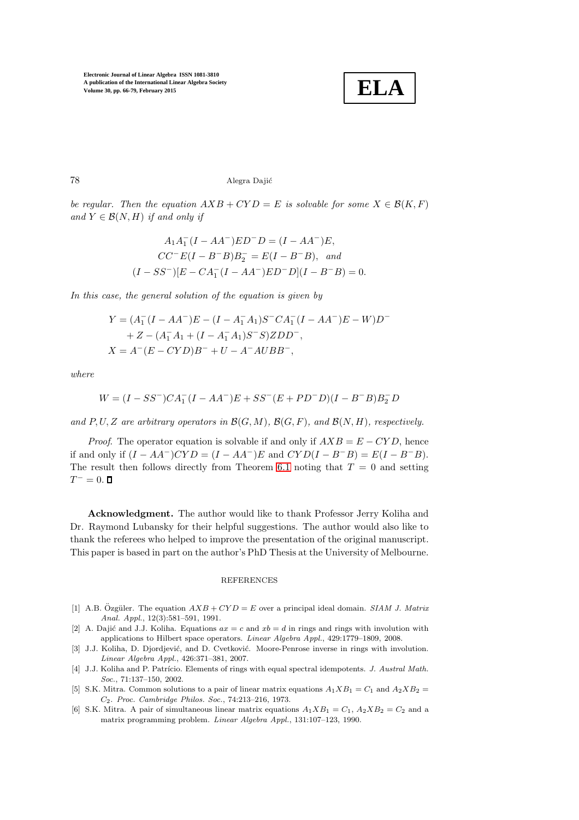

78 Alegra Daji´c

be regular. Then the equation  $AXB + CYD = E$  is solvable for some  $X \in \mathcal{B}(K, F)$ and  $Y \in \mathcal{B}(N, H)$  if and only if

$$
A_1A_1^-(I - AA^-)ED^-D = (I - AA^-)E,
$$
  
\n
$$
CC^-E(I - B^-B)B_2^- = E(I - B^-B), and
$$
  
\n
$$
(I - SS^-)[E - CA_1^-(I - AA^-)ED^-D](I - B^-B) = 0.
$$

In this case, the general solution of the equation is given by

$$
Y = (A_1^-(I - AA^-)E - (I - A_1^A A_1)S^-CA_1^-(I - AA^-)E - W)D^-
$$
  
+ Z - (A\_1^A A\_1 + (I - A\_1^A A\_1)S^-S)ZDD<sup>-</sup>,  

$$
X = A^-(E - CYD)B^- + U - A^-AUBB^-,
$$

where

$$
W = (I - SS^{-})CA_{1}^{-}(I - AA^{-})E + SS^{-}(E + PD^{-}D)(I - B^{-}B)B_{2}^{-}D
$$

and P, U, Z are arbitrary operators in  $\mathcal{B}(G, M)$ ,  $\mathcal{B}(G, F)$ , and  $\mathcal{B}(N, H)$ , respectively.

*Proof.* The operator equation is solvable if and only if  $AXB = E - CYD$ , hence if and only if  $(I - AA^-)CYD = (I - AA^-)E$  and  $CYD(I - B^-B) = E(I - B^-B)$ . The result then follows directly from Theorem [6.1](#page-9-1) noting that  $T = 0$  and setting  $T^{-} = 0.$ 

Acknowledgment. The author would like to thank Professor Jerry Koliha and Dr. Raymond Lubansky for their helpful suggestions. The author would also like to thank the referees who helped to improve the presentation of the original manuscript. This paper is based in part on the author's PhD Thesis at the University of Melbourne.

## **REFERENCES**

- <span id="page-12-2"></span>[1] A.B. Özgüler. The equation  $AXB + CYD = E$  over a principal ideal domain. SIAM J. Matrix Anal. Appl., 12(3):581–591, 1991.
- <span id="page-12-3"></span>[2] A. Dajić and J.J. Koliha. Equations  $ax = c$  and  $xb = d$  in rings and rings with involution with applications to Hilbert space operators. Linear Algebra Appl., 429:1779–1809, 2008.
- <span id="page-12-5"></span>[3] J.J. Koliha, D. Djordjević, and D. Cvetković. Moore-Penrose inverse in rings with involution. Linear Algebra Appl., 426:371–381, 2007.
- <span id="page-12-4"></span>[4] J.J. Koliha and P. Patrício. Elements of rings with equal spectral idempotents. J. Austral Math. Soc., 71:137–150, 2002.
- <span id="page-12-0"></span>[5] S.K. Mitra. Common solutions to a pair of linear matrix equations  $A_1 X B_1 = C_1$  and  $A_2 X B_2 =$ C2. Proc. Cambridge Philos. Soc., 74:213–216, 1973.
- <span id="page-12-1"></span>[6] S.K. Mitra. A pair of simultaneous linear matrix equations  $A_1 X B_1 = C_1$ ,  $A_2 X B_2 = C_2$  and a matrix programming problem. Linear Algebra Appl., 131:107–123, 1990.